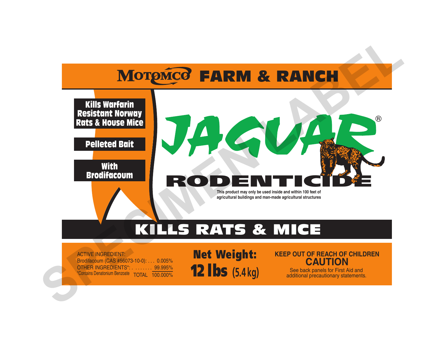



# KILLS RATS & MICE

ACTIVE INGREDIENT: Brodifacoum (CAS #56073-10-0): . . . 0.005% OTHER INGREDIENTS\*: . . . . . . . . 99.995% \*Contains Denatonium Benzoate TOTAL 100.000%

Net Weight: 12 lbs **(5.4 kg)**

### **KEEP OUT OF REACH OF CHILDREN CAUTION**

See back panels for First Aid and additional precautionary statements.